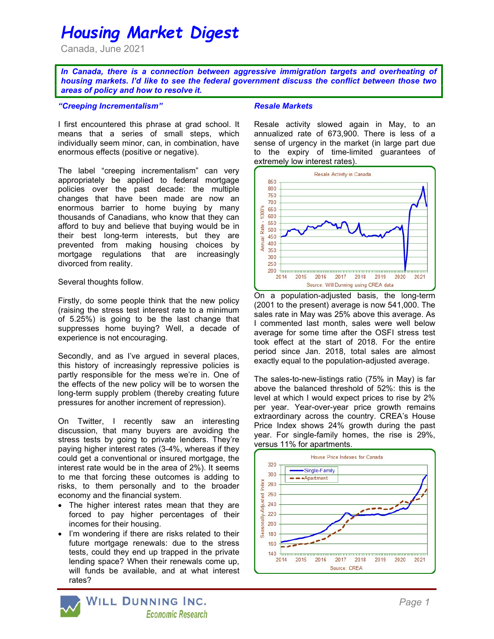# Housing Market Digest

Canada, June 2021

In Canada, there is a connection between aggressive immigration targets and overheating of housing markets. I'd like to see the federal government discuss the conflict between those two areas of policy and how to resolve it.

#### "Creeping Incrementalism"

I first encountered this phrase at grad school. It means that a series of small steps, which individually seem minor, can, in combination, have enormous effects (positive or negative).

The label "creeping incrementalism" can very appropriately be applied to federal mortgage policies over the past decade: the multiple changes that have been made are now an enormous barrier to home buying by many thousands of Canadians, who know that they can afford to buy and believe that buying would be in their best long-term interests, but they are prevented from making housing choices by mortgage regulations that are increasingly divorced from reality.

#### Several thoughts follow.

Firstly, do some people think that the new policy (raising the stress test interest rate to a minimum of 5.25%) is going to be the last change that suppresses home buying? Well, a decade of experience is not encouraging.

Secondly, and as I've argued in several places, this history of increasingly repressive policies is partly responsible for the mess we're in. One of the effects of the new policy will be to worsen the long-term supply problem (thereby creating future pressures for another increment of repression).

On Twitter, I recently saw an interesting discussion, that many buyers are avoiding the stress tests by going to private lenders. They're paying higher interest rates (3-4%, whereas if they could get a conventional or insured mortgage, the interest rate would be in the area of 2%). It seems to me that forcing these outcomes is adding to risks, to them personally and to the broader economy and the financial system.

- The higher interest rates mean that they are forced to pay higher percentages of their incomes for their housing.
- I'm wondering if there are risks related to their future mortgage renewals: due to the stress tests, could they end up trapped in the private lending space? When their renewals come up, will funds be available, and at what interest rates?

#### Resale Markets

Resale activity slowed again in May, to an annualized rate of 673,900. There is less of a sense of urgency in the market (in large part due to the expiry of time-limited guarantees of extremely low interest rates).



On a population-adjusted basis, the long-term (2001 to the present) average is now 541,000. The sales rate in May was 25% above this average. As I commented last month, sales were well below average for some time after the OSFI stress test took effect at the start of 2018. For the entire period since Jan. 2018, total sales are almost exactly equal to the population-adjusted average.

The sales-to-new-listings ratio (75% in May) is far above the balanced threshold of 52%: this is the level at which I would expect prices to rise by 2% per year. Year-over-year price growth remains extraordinary across the country. CREA's House Price Index shows 24% growth during the past year. For single-family homes, the rise is 29%, versus 11% for apartments.